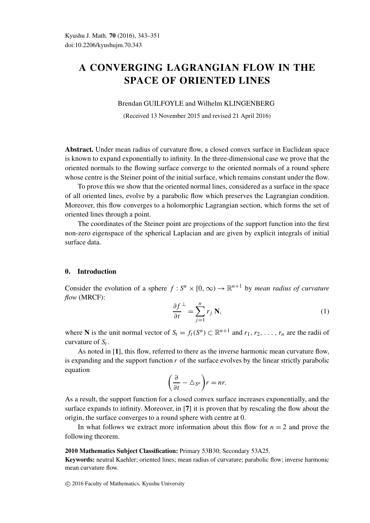# A CONVERGING LAGRANGIAN FLOW IN THE SPACE OF ORIENTED LINES

#### Brendan GUILFOYLE and Wilhelm KLINGENBERG

(Received 13 November 2015 and revised 21 April 2016)

Abstract. Under mean radius of curvature flow, a closed convex surface in Euclidean space is known to expand exponentially to infinity. In the three-dimensional case we prove that the oriented normals to the flowing surface converge to the oriented normals of a round sphere whose centre is the Steiner point of the initial surface, which remains constant under the flow.

To prove this we show that the oriented normal lines, considered as a surface in the space of all oriented lines, evolve by a parabolic flow which preserves the Lagrangian condition. Moreover, this flow converges to a holomorphic Lagrangian section, which forms the set of oriented lines through a point.

The coordinates of the Steiner point are projections of the support function into the first non-zero eigenspace of the spherical Laplacian and are given by explicit integrals of initial surface data.

## 0. Introduction

Consider the evolution of a sphere  $f : S^n \times [0, \infty) \to \mathbb{R}^{n+1}$  by *mean radius of curvature flow* (MRCF):

$$
\frac{\partial f}{\partial t}^{\perp} = \sum_{j=1}^{n} r_j \mathbf{N},\tag{1}
$$

where N is the unit normal vector of  $S_t = f_t(S^n) \subset \mathbb{R}^{n+1}$  and  $r_1, r_2, \ldots, r_n$  are the radii of curvature of  $S_t$ .

As noted in [1], this flow, referred to there as the inverse harmonic mean curvature flow, is expanding and the support function  $r$  of the surface evolves by the linear strictly parabolic equation

$$
\left(\frac{\partial}{\partial t}-\triangle_{S^n}\right)r=nr.
$$

As a result, the support function for a closed convex surface increases exponentially, and the surface expands to infinity. Moreover, in [7] it is proven that by rescaling the flow about the origin, the surface converges to a round sphere with centre at 0.

In what follows we extract more information about this flow for  $n = 2$  and prove the following theorem.

### 2010 Mathematics Subject Classification: Primary 53B30; Secondary 53A25.

Keywords: neutral Kaehler; oriented lines; mean radius of curvature; parabolic flow; inverse harmonic mean curvature flow.

c 2016 Faculty of Mathematics, Kyushu University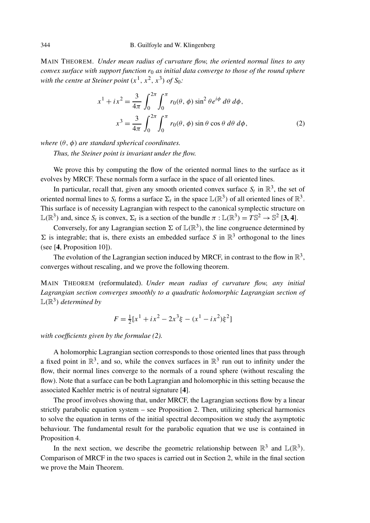MAIN THEOREM. *Under mean radius of curvature flow, the oriented normal lines to any convex surface with support function r*<sup>0</sup> *as initial data converge to those of the round sphere with the centre at Steiner point*  $(x^1, x^2, x^3)$  *of*  $S_0$ *:* 

$$
x^{1} + ix^{2} = \frac{3}{4\pi} \int_{0}^{2\pi} \int_{0}^{\pi} r_{0}(\theta, \phi) \sin^{2} \theta e^{i\phi} d\theta d\phi,
$$
  

$$
x^{3} = \frac{3}{4\pi} \int_{0}^{2\pi} \int_{0}^{\pi} r_{0}(\theta, \phi) \sin \theta \cos \theta d\theta d\phi,
$$
 (2)

*where (θ , φ) are standard spherical coordinates. Thus, the Steiner point is invariant under the flow.*

We prove this by computing the flow of the oriented normal lines to the surface as it evolves by MRCF. These normals form a surface in the space of all oriented lines.

In particular, recall that, given any smooth oriented convex surface  $S_t$  in  $\mathbb{R}^3$ , the set of oriented normal lines to  $S_t$  forms a surface  $\Sigma_t$  in the space  $\mathbb{L}(\mathbb{R}^3)$  of all oriented lines of  $\mathbb{R}^3$ . This surface is of necessity Lagrangian with respect to the canonical symplectic structure on  $\mathbb{L}(\mathbb{R}^3)$  and, since  $S_t$  is convex,  $\Sigma_t$  is a section of the bundle  $\pi : \mathbb{L}(\mathbb{R}^3) = T\mathbb{S}^2 \to \mathbb{S}^2$  [3, 4].

Conversely, for any Lagrangian section  $\Sigma$  of  $\mathbb{L}(\mathbb{R}^3)$ , the line congruence determined by  $\Sigma$  is integrable; that is, there exists an embedded surface *S* in  $\mathbb{R}^3$  orthogonal to the lines (see [4, Proposition 10]).

The evolution of the Lagrangian section induced by MRCF, in contrast to the flow in  $\mathbb{R}^3$ , converges without rescaling, and we prove the following theorem.

MAIN THEOREM (reformulated). *Under mean radius of curvature flow, any initial Lagrangian section converges smoothly to a quadratic holomorphic Lagrangian section of*  $L(\mathbb{R}^3)$  *determined by* 

$$
F = \frac{1}{2} [x^1 + ix^2 - 2x^3 \xi - (x^1 - ix^2) \xi^2]
$$

*with coefficients given by the formulae (2).*

A holomorphic Lagrangian section corresponds to those oriented lines that pass through a fixed point in  $\mathbb{R}^3$ , and so, while the convex surfaces in  $\mathbb{R}^3$  run out to infinity under the flow, their normal lines converge to the normals of a round sphere (without rescaling the flow). Note that a surface can be both Lagrangian and holomorphic in this setting because the associated Kaehler metric is of neutral signature [4].

The proof involves showing that, under MRCF, the Lagrangian sections flow by a linear strictly parabolic equation system – see Proposition 2. Then, utilizing spherical harmonics to solve the equation in terms of the initial spectral decomposition we study the asymptotic behaviour. The fundamental result for the parabolic equation that we use is contained in Proposition 4.

In the next section, we describe the geometric relationship between  $\mathbb{R}^3$  and  $\mathbb{L}(\mathbb{R}^3)$ . Comparison of MRCF in the two spaces is carried out in Section 2, while in the final section we prove the Main Theorem.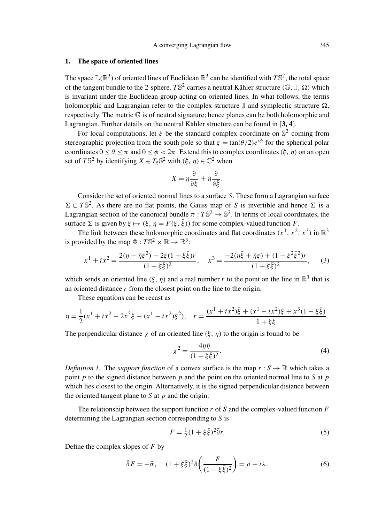### 1. The space of oriented lines

The space  $\mathbb{L}(\mathbb{R}^3)$  of oriented lines of Euclidean  $\mathbb{R}^3$  can be identified with  $T\mathbb{S}^2$ , the total space of the tangent bundle to the 2-sphere.  $T\mathbb{S}^2$  carries a neutral Kähler structure  $(\mathbb{G}, \mathbb{J}, \Omega)$  which is invariant under the Euclidean group acting on oriented lines. In what follows, the terms holomorphic and Lagrangian refer to the complex structure  $\mathbb J$  and symplectic structure  $\Omega$ , respectively. The metric  $\mathbb G$  is of neutral signature; hence planes can be both holomorphic and Lagrangian. Further details on the neutral Kähler structure can be found in [3, 4].

For local computations, let  $\xi$  be the standard complex coordinate on  $\mathbb{S}^2$  coming from stereographic projection from the south pole so that  $\xi = \tan(\theta/2)e^{i\phi}$  for the spherical polar coordinates  $0 \le \theta \le \pi$  and  $0 \le \phi < 2\pi$ . Extend this to complex coordinates  $(\xi, \eta)$  on an open set of  $T\mathbb{S}^2$  by identifying  $X \in T_{\xi} \mathbb{S}^2$  with  $(\xi, \eta) \in \mathbb{C}^2$  when

$$
X = \eta \frac{\partial}{\partial \xi} + \bar{\eta} \frac{\partial}{\partial \bar{\xi}}.
$$

Consider the set of oriented normal lines to a surface *S*. These form a Lagrangian surface  $\Sigma \subset T\mathbb{S}^2$ . As there are no flat points, the Gauss map of *S* is invertible and hence  $\Sigma$  is a Lagrangian section of the canonical bundle  $\pi : T\mathbb{S}^2 \to \mathbb{S}^2$ . In terms of local coordinates, the surface  $\Sigma$  is given by  $\xi \mapsto (\xi, \eta = F(\xi, \bar{\xi}))$  for some complex-valued function *F*.

The link between these holomorphic coordinates and flat coordinates  $(x^1, x^2, x^3)$  in  $\mathbb{R}^3$ is provided by the map  $\Phi: T\mathbb{S}^2 \times \mathbb{R} \to \mathbb{R}^3$ :

$$
x^{1} + ix^{2} = \frac{2(\eta - \bar{\eta}\xi^{2}) + 2\xi(1 + \xi\bar{\xi})r}{(1 + \xi\bar{\xi})^{2}}, \quad x^{3} = \frac{-2(\eta\bar{\xi} + \bar{\eta}\xi) + (1 - \xi^{2}\bar{\xi}^{2})r}{(1 + \xi\bar{\xi})^{2}}, \quad (3)
$$

which sends an oriented line  $(\xi, \eta)$  and a real number r to the point on the line in  $\mathbb{R}^3$  that is an oriented distance *r* from the closest point on the line to the origin.

These equations can be recast as

$$
\eta = \frac{1}{2}(x^1 + ix^2 - 2x^3\xi - (x^1 - ix^2)\xi^2), \quad r = \frac{(x^1 + ix^2)\bar{\xi} + (x^1 - ix^2)\xi + x^3(1 - \xi\bar{\xi})}{1 + \xi\bar{\xi}}.
$$

The perpendicular distance  $\chi$  of an oriented line  $(\xi, \eta)$  to the origin is found to be

$$
\chi^2 = \frac{4\eta\bar{\eta}}{(1+\xi\bar{\xi})^2}.
$$
 (4)

*Definition 1.* The *support function* of a convex surface is the map  $r : S \to \mathbb{R}$  which takes a point *p* to the signed distance between *p* and the point on the oriented normal line to *S* at *p* which lies closest to the origin. Alternatively, it is the signed perpendicular distance between the oriented tangent plane to *S* at *p* and the origin.

The relationship between the support function *r* of *S* and the complex-valued function *F* determining the Lagrangian section corresponding to *S* is

$$
F = \frac{1}{2}(1 + \xi \bar{\xi})^2 \bar{\partial}r.
$$
\n<sup>(5)</sup>

Define the complex slopes of *F* by

$$
\bar{\partial}F = -\bar{\sigma}, \quad (1 + \xi\bar{\xi})^2 \partial \left(\frac{F}{(1 + \xi\bar{\xi})^2}\right) = \rho + i\lambda. \tag{6}
$$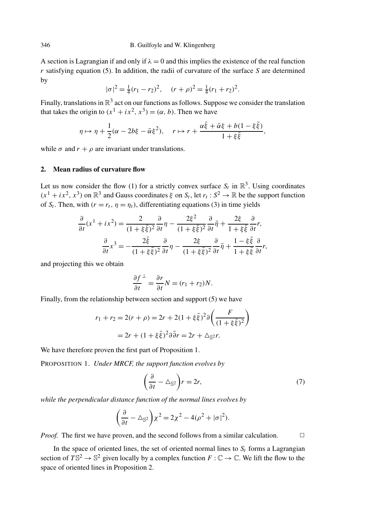A section is Lagrangian if and only if  $\lambda = 0$  and this implies the existence of the real function *r* satisfying equation (5). In addition, the radii of curvature of the surface *S* are determined by

$$
|\sigma|^2 = \frac{1}{4}(r_1 - r_2)^2, \quad (r + \rho)^2 = \frac{1}{4}(r_1 + r_2)^2.
$$

Finally, translations in  $\mathbb{R}^3$  act on our functions as follows. Suppose we consider the translation that takes the origin to  $(x^1 + ix^2, x^3) = (\alpha, b)$ . Then we have

$$
\eta \mapsto \eta + \frac{1}{2}(\alpha - 2b\xi - \bar{\alpha}\xi^2), \quad r \mapsto r + \frac{\alpha \bar{\xi} + \bar{\alpha}\xi + b(1 - \xi \bar{\xi})}{1 + \xi \bar{\xi}},
$$

while  $\sigma$  and  $r + \rho$  are invariant under translations.

# 2. Mean radius of curvature flow

Let us now consider the flow (1) for a strictly convex surface  $S_t$  in  $\mathbb{R}^3$ . Using coordinates  $(x^1 + ix^2, x^3)$  on  $\mathbb{R}^3$  and Gauss coordinates  $\xi$  on  $S_t$ , let  $r_t : S^2 \to \mathbb{R}$  be the support function of  $S_t$ . Then, with  $(r = r_t, \eta = \eta_t)$ , differentiating equations (3) in time yields

$$
\frac{\partial}{\partial t}(x^1 + ix^2) = \frac{2}{(1 + \xi \bar{\xi})^2} \frac{\partial}{\partial t} \eta - \frac{2\xi^2}{(1 + \xi \bar{\xi})^2} \frac{\partial}{\partial t} \bar{\eta} + \frac{2\xi}{1 + \xi \bar{\xi}} \frac{\partial}{\partial t} r,
$$

$$
\frac{\partial}{\partial t} x^3 = -\frac{2\bar{\xi}}{(1 + \xi \bar{\xi})^2} \frac{\partial}{\partial t} \eta - \frac{2\xi}{(1 + \xi \bar{\xi})^2} \frac{\partial}{\partial t} \bar{\eta} + \frac{1 - \xi \bar{\xi}}{1 + \xi \bar{\xi}} \frac{\partial}{\partial t} r,
$$

and projecting this we obtain

$$
\frac{\partial f}{\partial t}^{\perp} = \frac{\partial r}{\partial t} N = (r_1 + r_2)N.
$$

Finally, from the relationship between section and support (5) we have

$$
r_1 + r_2 = 2(r + \rho) = 2r + 2(1 + \xi \bar{\xi})^2 \partial \left(\frac{F}{(1 + \xi \bar{\xi})^2}\right)
$$
  
= 2r + (1 + \xi \bar{\xi})^2 \partial \bar{\partial}r = 2r + \Delta\_{\mathbb{S}^2}r.

We have therefore proven the first part of Proposition 1.

PROPOSITION 1. *Under MRCF, the support function evolves by*

$$
\left(\frac{\partial}{\partial t} - \Delta_{\mathbb{S}^2}\right) r = 2r,\tag{7}
$$

*while the perpendicular distance function of the normal lines evolves by*

$$
\left(\frac{\partial}{\partial t} - \Delta_{\mathbb{S}^2}\right) \chi^2 = 2\chi^2 - 4(\rho^2 + |\sigma|^2).
$$

*Proof.* The first we have proven, and the second follows from a similar calculation.  $\square$ 

In the space of oriented lines, the set of oriented normal lines to  $S_t$  forms a Lagrangian section of  $T\mathbb{S}^2 \to \mathbb{S}^2$  given locally by a complex function  $F : \mathbb{C} \to \mathbb{C}$ . We lift the flow to the space of oriented lines in Proposition 2.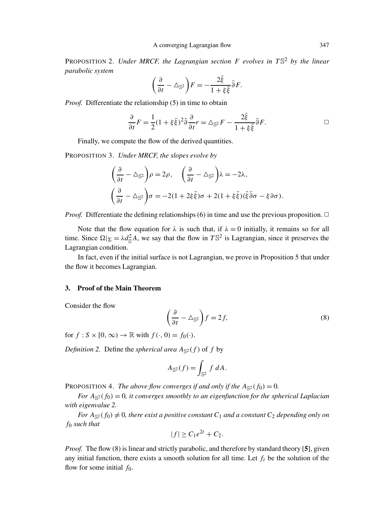PROPOSITION 2. *Under MRCF, the Lagrangian section F evolves in T* S<sup>2</sup> *by the linear parabolic system*

$$
\left(\frac{\partial}{\partial t}-\triangle_{\mathbb{S}^2}\right)F=-\frac{2\bar{\xi}}{1+\xi\bar{\xi}}\bar{\partial}F.
$$

*Proof.* Differentiate the relationship (5) in time to obtain

$$
\frac{\partial}{\partial t}F = \frac{1}{2}(1 + \xi \bar{\xi})^2 \bar{\partial} \frac{\partial}{\partial t}r = \Delta_{\mathbb{S}^2}F - \frac{2\bar{\xi}}{1 + \xi \bar{\xi}} \bar{\partial}F.
$$

Finally, we compute the flow of the derived quantities.

PROPOSITION 3. *Under MRCF, the slopes evolve by*

$$
\left(\frac{\partial}{\partial t} - \Delta_{\mathbb{S}^2}\right)\rho = 2\rho, \quad \left(\frac{\partial}{\partial t} - \Delta_{\mathbb{S}^2}\right)\lambda = -2\lambda,
$$

$$
\left(\frac{\partial}{\partial t} - \Delta_{\mathbb{S}^2}\right)\sigma = -2(1 + 2\xi\bar{\xi})\sigma + 2(1 + \xi\bar{\xi})(\bar{\xi}\bar{\partial}\sigma - \xi\partial\sigma).
$$

*Proof.* Differentiate the defining relationships (6) in time and use the previous proposition.  $\Box$ 

Note that the flow equation for  $\lambda$  is such that, if  $\lambda = 0$  initially, it remains so for all time. Since  $\Omega|_{\Sigma} = \lambda d_{\mathbb{S}}^2 A$ , we say that the flow in  $T\mathbb{S}^2$  is Lagrangian, since it preserves the Lagrangian condition.

In fact, even if the initial surface is not Lagrangian, we prove in Proposition 5 that under the flow it becomes Lagrangian.

## 3. Proof of the Main Theorem

Consider the flow

$$
\left(\frac{\partial}{\partial t} - \Delta_{\mathbb{S}^2}\right) f = 2f,\tag{8}
$$

for  $f : S \times [0, \infty) \to \mathbb{R}$  with  $f(\cdot, 0) = f_0(\cdot)$ .

*Definition 2.* Define the *spherical area*  $A_{\mathbb{S}^2}(f)$  of *f* by

$$
A_{\mathbb{S}^2}(f) = \int_{\mathbb{S}^2} f \, dA.
$$

PROPOSITION 4. *The above flow converges if and only if the*  $A_{\leq 2}(f_0) = 0$ *.* 

*For*  $A_{\mathbb{S}^2}(f_0) = 0$ , *it converges smoothly to an eigenfunction for the spherical Laplacian with eigenvalue 2.*

*For*  $A_{\leq 2}(f_0) \neq 0$ , there exist a positive constant  $C_1$  *and a constant*  $C_2$  *depending only on f*<sup>0</sup> *such that*

$$
|f| \geq C_1 e^{2t} + C_2.
$$

*Proof.* The flow (8) is linear and strictly parabolic, and therefore by standard theory [5], given any initial function, there exists a smooth solution for all time. Let  $f_t$  be the solution of the flow for some initial *f*0.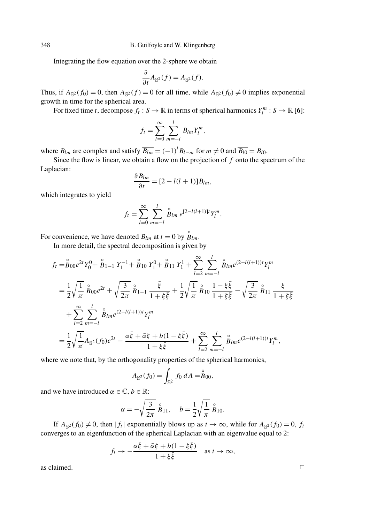Integrating the flow equation over the 2-sphere we obtain

$$
\frac{\partial}{\partial t}A_{\mathbb{S}^2}(f) = A_{\mathbb{S}^2}(f).
$$

Thus, if  $A_{\mathbb{S}^2}(f_0) = 0$ , then  $A_{\mathbb{S}^2}(f) = 0$  for all time, while  $A_{\mathbb{S}^2}(f_0) \neq 0$  implies exponential growth in time for the spherical area.

For fixed time *t*, decompose  $f_t : S \to \mathbb{R}$  in terms of spherical harmonics  $Y_l^m : S \to \mathbb{R}$  [6]:

$$
f_t = \sum_{l=0}^{\infty} \sum_{m=-l}^{l} B_{lm} Y_l^m,
$$

where  $B_{lm}$  are complex and satisfy  $\overline{B_{lm}} = (-1)^l B_{l-m}$  for  $m \neq 0$  and  $\overline{B_{l0}} = B_{l0}$ .

Since the flow is linear, we obtain a flow on the projection of *f* onto the spectrum of the Laplacian:

$$
\frac{\partial B_{lm}}{\partial t} = [2 - l(l+1)]B_{lm},
$$

which integrates to yield

$$
f_t = \sum_{l=0}^{\infty} \sum_{m=-l}^{l} \stackrel{\circ}{B}_{lm} e^{[2-l(l+1)]t} Y_l^m.
$$

For convenience, we have denoted  $B_{lm}$  at  $t = 0$  by  $\mathring{B}_{lm}$ .

In more detail, the spectral decomposition is given by

$$
f_t = \overset{\circ}{B}_{00} e^{2t} Y_0^0 + \overset{\circ}{B}_{1-1} Y_1^{-1} + \overset{\circ}{B}_{10} Y_1^0 + \overset{\circ}{B}_{11} Y_1^1 + \sum_{l=2}^{\infty} \sum_{m=-l}^{l} \overset{\circ}{B}_{lm} e^{(2-l(l+1))t} Y_l^m
$$
  
\n
$$
= \frac{1}{2} \sqrt{\frac{1}{\pi}} \overset{\circ}{B}_{00} e^{2t} + \sqrt{\frac{3}{2\pi}} \overset{\circ}{B}_{1-1} \frac{\overline{\xi}}{1 + \overline{\xi} \overline{\xi}} + \frac{1}{2} \sqrt{\frac{1}{\pi}} \overset{\circ}{B}_{10} \frac{1 - \xi \overline{\xi}}{1 + \xi \overline{\xi}} - \sqrt{\frac{3}{2\pi}} \overset{\circ}{B}_{11} \frac{\overline{\xi}}{1 + \xi \overline{\xi}}
$$
  
\n
$$
+ \sum_{l=2}^{\infty} \sum_{m=-l}^{l} \overset{\circ}{B}_{lm} e^{(2-l(l+1))t} Y_l^m
$$
  
\n
$$
= \frac{1}{2} \sqrt{\frac{1}{\pi}} A_{\mathbb{S}^2} (f_0) e^{2t} - \frac{\alpha \overline{\xi} + \overline{\alpha} \xi + b(1 - \xi \overline{\xi})}{1 + \xi \overline{\xi}} + \sum_{l=2}^{\infty} \sum_{m=-l}^{l} \overset{\circ}{B}_{lm} e^{(2-l(l+1))t} Y_l^m,
$$

where we note that, by the orthogonality properties of the spherical harmonics,

$$
A_{\mathbb{S}^2}(f_0) = \int_{\mathbb{S}^2} f_0 \, dA = \stackrel{\circ}{B}_{00},
$$

and we have introduced  $\alpha \in \mathbb{C}$ ,  $b \in \mathbb{R}$ :

$$
\alpha = -\sqrt{\frac{3}{2\pi}} \stackrel{\circ}{B}_{11}, \quad b = \frac{1}{2}\sqrt{\frac{1}{\pi}} \stackrel{\circ}{B}_{10}.
$$

If  $A_{\mathbb{S}^2}(f_0) \neq 0$ , then  $|f_t|$  exponentially blows up as  $t \to \infty$ , while for  $A_{\mathbb{S}^2}(f_0) = 0$ ,  $f_t$ converges to an eigenfunction of the spherical Laplacian with an eigenvalue equal to 2:

$$
f_t \to -\frac{\alpha \bar{\xi} + \bar{\alpha} \xi + b(1 - \xi \bar{\xi})}{1 + \xi \bar{\xi}}
$$
 as  $t \to \infty$ ,

as claimed.  $\Box$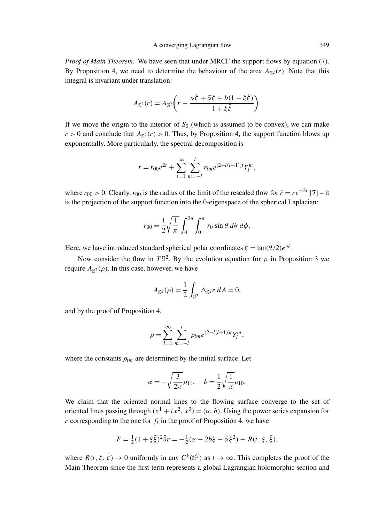*Proof of Main Theorem.* We have seen that under MRCF the support flows by equation (7). By Proposition 4, we need to determine the behaviour of the area  $A_{\mathbb{S}^2}(r)$ . Note that this integral is invariant under translation:

$$
A_{\mathbb{S}^2}(r) = A_{\mathbb{S}^2}\bigg(r - \frac{\alpha \bar{\xi} + \bar{\alpha}\xi + b(1 - \xi \bar{\xi})}{1 + \xi \bar{\xi}}\bigg).
$$

If we move the origin to the interior of  $S_0$  (which is assumed to be convex), we can make  $r > 0$  and conclude that  $A_{\leq 2}(r) > 0$ . Thus, by Proposition 4, the support function blows up exponentially. More particularly, the spectral decomposition is

$$
r = r_{00}e^{2t} + \sum_{l=1}^{\infty} \sum_{m=-l}^{l} r_{lm}e^{[2-l(l+1)]t}Y_l^m,
$$

where  $r_{00} > 0$ . Clearly,  $r_{00}$  is the radius of the limit of the rescaled flow for  $\tilde{r} = r e^{-2t}$  [7] – it is the projection of the support function into the 0-eigenspace of the spherical Laplacian:

$$
r_{00} = \frac{1}{2} \sqrt{\frac{1}{\pi}} \int_0^{2\pi} \int_0^{\pi} r_0 \sin \theta \, d\theta \, d\phi.
$$

Here, we have introduced standard spherical polar coordinates  $\xi = \tan(\theta/2)e^{i\phi}$ .

Now consider the flow in  $T\mathbb{S}^2$ . By the evolution equation for  $\rho$  in Proposition 3 we require  $A_{\mathbb{S}^2}(\rho)$ . In this case, however, we have

$$
A_{\mathbb{S}^2}(\rho) = \frac{1}{2} \int_{\mathbb{S}^2} \Delta_{\mathbb{S}^2} r \, dA = 0,
$$

and by the proof of Proposition 4,

$$
\rho = \sum_{l=1}^{\infty} \sum_{m=-l}^{l} \rho_{lm} e^{(2-l(l+1))t} Y_l^m,
$$

where the constants  $\rho_{lm}$  are determined by the initial surface. Let

$$
\alpha = -\sqrt{\frac{3}{2\pi}}\rho_{11}, \quad b = \frac{1}{2}\sqrt{\frac{1}{\pi}}\rho_{10}.
$$

We claim that the oriented normal lines to the flowing surface converge to the set of oriented lines passing through  $(x^1 + ix^2, x^3) = (\alpha, b)$ . Using the power series expansion for  $r$  corresponding to the one for  $f_t$  in the proof of Proposition 4, we have

$$
F = \frac{1}{2}(1 + \xi \bar{\xi})^2 \bar{\partial} r = -\frac{1}{2}(\alpha - 2b\xi - \bar{\alpha}\xi^2) + R(t, \xi, \bar{\xi}),
$$

where  $R(t, \xi, \bar{\xi}) \to 0$  uniformly in any  $C^k(\mathbb{S}^2)$  as  $t \to \infty$ . This completes the proof of the Main Theorem since the first term represents a global Lagrangian holomorphic section and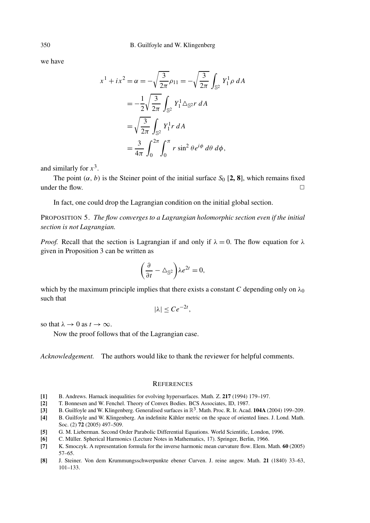we have

$$
x^{1} + ix^{2} = \alpha = -\sqrt{\frac{3}{2\pi}} \rho_{11} = -\sqrt{\frac{3}{2\pi}} \int_{\mathbb{S}^{2}} Y_{1}^{1} \rho \, dA
$$
  
=  $-\frac{1}{2} \sqrt{\frac{3}{2\pi}} \int_{\mathbb{S}^{2}} Y_{1}^{1} \triangle_{\mathbb{S}^{2}} r \, dA$   
=  $\sqrt{\frac{3}{2\pi}} \int_{\mathbb{S}^{2}} Y_{1}^{1} r \, dA$   
=  $\frac{3}{4\pi} \int_{0}^{2\pi} \int_{0}^{\pi} r \sin^{2} \theta e^{i\phi} \, d\theta \, d\phi$ ,

and similarly for  $x^3$ .

The point  $(\alpha, b)$  is the Steiner point of the initial surface  $S_0$  [2, 8], which remains fixed under the flow.  $\Box$ 

In fact, one could drop the Lagrangian condition on the initial global section.

PROPOSITION 5. *The flow converges to a Lagrangian holomorphic section even if the initial section is not Lagrangian.*

*Proof.* Recall that the section is Lagrangian if and only if  $\lambda = 0$ . The flow equation for  $\lambda$ given in Proposition 3 can be written as

$$
\left(\frac{\partial}{\partial t} - \triangle_{\mathbb{S}^2}\right) \lambda e^{2t} = 0,
$$

which by the maximum principle implies that there exists a constant *C* depending only on  $\lambda_0$ such that

$$
|\lambda| \le Ce^{-2t},
$$

so that  $\lambda \to 0$  as  $t \to \infty$ .

Now the proof follows that of the Lagrangian case.

*Acknowledgement.* The authors would like to thank the reviewer for helpful comments.

#### **REFERENCES**

- [1] B. Andrews. Harnack inequalities for evolving hypersurfaces. Math. Z. 217 (1994) 179–197.
- [2] T. Bonnesen and W. Fenchel. Theory of Convex Bodies. BCS Associates, ID, 1987.
- [3] B. Guilfoyle and W. Klingenberg. Generalised surfaces in  $\mathbb{R}^3$ . Math. Proc. R. Ir. Acad. 104A (2004) 199–209.
- [4] B. Guilfoyle and W. Klingenberg. An indefinite Kähler metric on the space of oriented lines. J. Lond. Math. Soc. (2) 72 (2005) 497–509.
- [5] G. M. Lieberman. Second Order Parabolic Differential Equations. World Scientific, London, 1996.
- [6] C. Müller. Spherical Harmonics (Lecture Notes in Mathematics, 17). Springer, Berlin, 1966.
- [7] K. Smoczyk. A representation formula for the inverse harmonic mean curvature flow. Elem. Math. 60 (2005) 57–65.
- [8] J. Steiner. Von dem Krummungsschwerpunkte ebener Curven. J. reine angew. Math. 21 (1840) 33–63, 101–133.